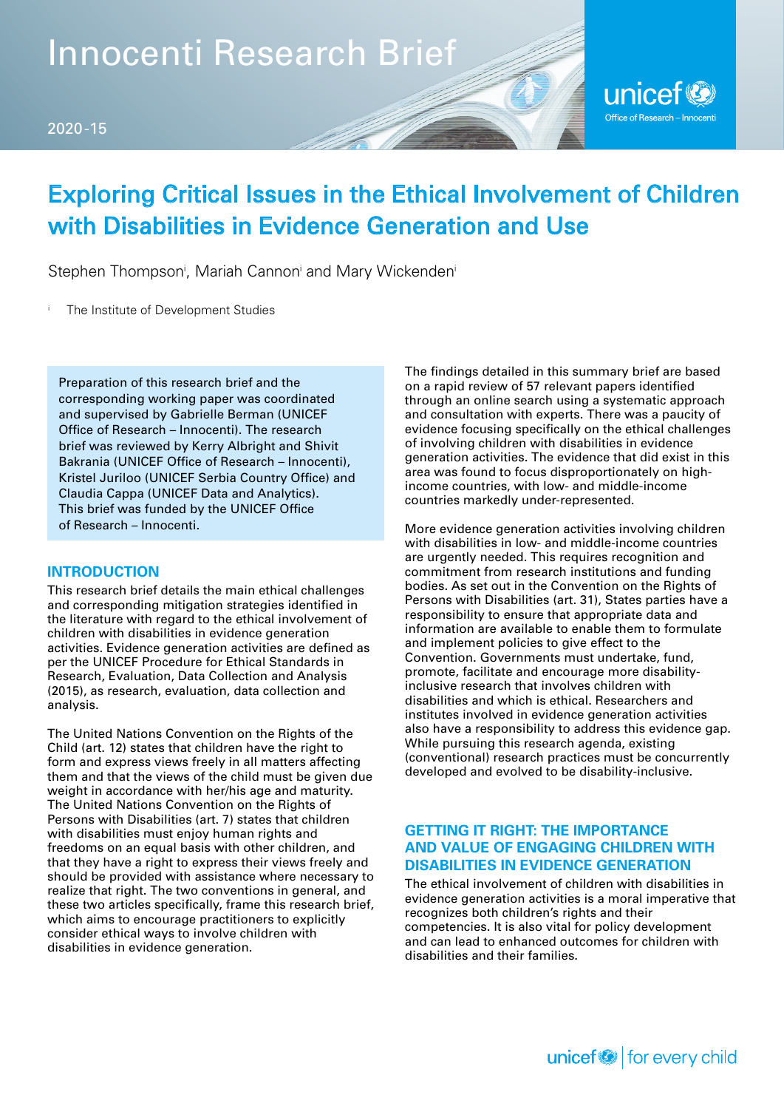Innocenti Research Brief



## Exploring Critical Issues in the Ethical Involvement of Children with Disabilities in Evidence Generation and Use

Stephen Thompson<sup>i</sup>, Mariah Cannon<sup>i</sup> and Mary Wickenden<sup>i</sup>

The Institute of Development Studies

Preparation of this research brief and the corresponding working paper was coordinated and supervised by Gabrielle Berman (UNICEF Office of Research – Innocenti). The research brief was reviewed by Kerry Albright and Shivit Bakrania (UNICEF Office of Research – Innocenti), Kristel Juriloo (UNICEF Serbia Country Office) and Claudia Cappa (UNICEF Data and Analytics). This brief was funded by the UNICEF Office of Research – Innocenti.

#### **INTRODUCTION**

This research brief details the main ethical challenges and corresponding mitigation strategies identified in the literature with regard to the ethical involvement of children with disabilities in evidence generation activities. Evidence generation activities are defined as per the UNICEF Procedure for Ethical Standards in Research, Evaluation, Data Collection and Analysis (2015), as research, evaluation, data collection and analysis.

The United Nations Convention on the Rights of the Child (art. 12) states that children have the right to form and express views freely in all matters affecting them and that the views of the child must be given due weight in accordance with her/his age and maturity. The United Nations Convention on the Rights of Persons with Disabilities (art. 7) states that children with disabilities must enjoy human rights and freedoms on an equal basis with other children, and that they have a right to express their views freely and should be provided with assistance where necessary to realize that right. The two conventions in general, and these two articles specifically, frame this research brief, which aims to encourage practitioners to explicitly consider ethical ways to involve children with disabilities in evidence generation.

The findings detailed in this summary brief are based on a rapid review of 57 relevant papers identified through an online search using a systematic approach and consultation with experts. There was a paucity of evidence focusing specifically on the ethical challenges of involving children with disabilities in evidence generation activities. The evidence that did exist in this area was found to focus disproportionately on highincome countries, with low- and middle-income countries markedly under-represented.

More evidence generation activities involving children with disabilities in low- and middle-income countries are urgently needed. This requires recognition and commitment from research institutions and funding bodies. As set out in the Convention on the Rights of Persons with Disabilities (art. 31), States parties have a responsibility to ensure that appropriate data and information are available to enable them to formulate and implement policies to give effect to the Convention. Governments must undertake, fund, promote, facilitate and encourage more disabilityinclusive research that involves children with disabilities and which is ethical. Researchers and institutes involved in evidence generation activities also have a responsibility to address this evidence gap. While pursuing this research agenda, existing (conventional) research practices must be concurrently developed and evolved to be disability-inclusive.

#### **GETTING IT RIGHT: THE IMPORTANCE AND VALUE OF ENGAGING CHILDREN WITH DISABILITIES IN EVIDENCE GENERATION**

The ethical involvement of children with disabilities in evidence generation activities is a moral imperative that recognizes both children's rights and their competencies. It is also vital for policy development and can lead to enhanced outcomes for children with disabilities and their families.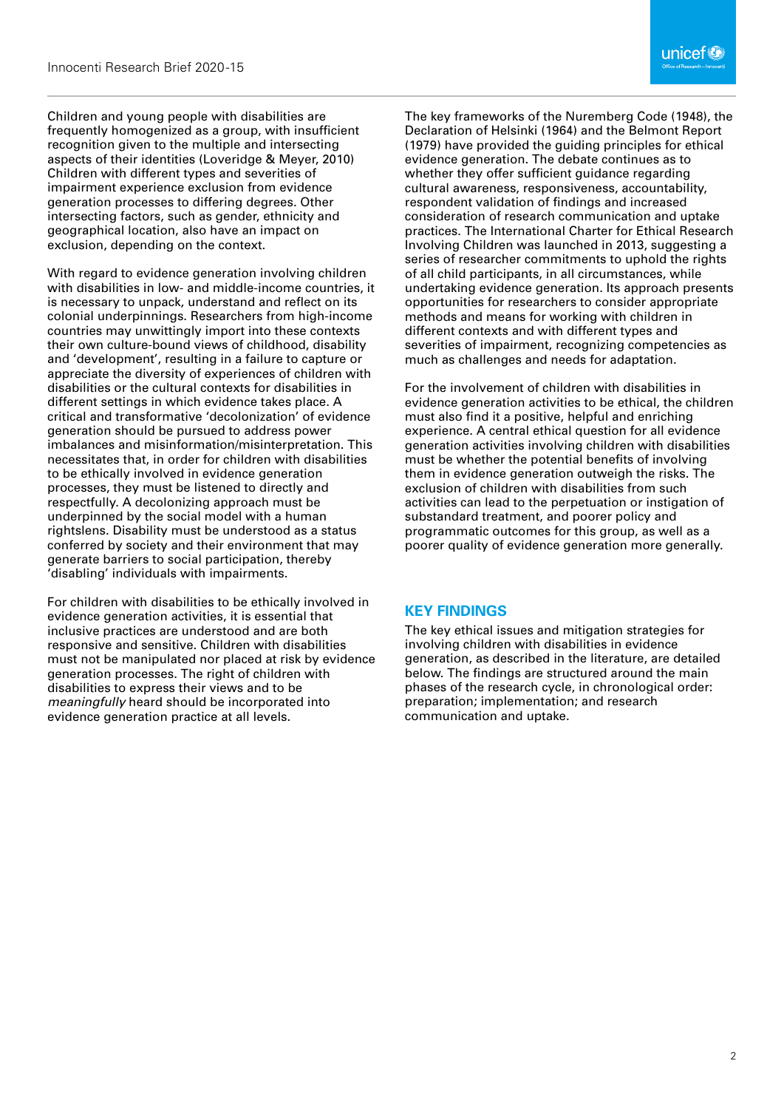Children and young people with disabilities are frequently homogenized as a group, with insufficient recognition given to the multiple and intersecting aspects of their identities (Loveridge & Meyer, 2010) Children with different types and severities of impairment experience exclusion from evidence generation processes to differing degrees. Other intersecting factors, such as gender, ethnicity and geographical location, also have an impact on exclusion, depending on the context.

With regard to evidence generation involving children with disabilities in low- and middle-income countries, it is necessary to unpack, understand and reflect on its colonial underpinnings. Researchers from high-income countries may unwittingly import into these contexts their own culture-bound views of childhood, disability and 'development', resulting in a failure to capture or appreciate the diversity of experiences of children with disabilities or the cultural contexts for disabilities in different settings in which evidence takes place. A critical and transformative 'decolonization' of evidence generation should be pursued to address power imbalances and misinformation/misinterpretation. This necessitates that, in order for children with disabilities to be ethically involved in evidence generation processes, they must be listened to directly and respectfully. A decolonizing approach must be underpinned by the social model with a human rightslens. Disability must be understood as a status conferred by society and their environment that may generate barriers to social participation, thereby 'disabling' individuals with impairments.

For children with disabilities to be ethically involved in evidence generation activities, it is essential that inclusive practices are understood and are both responsive and sensitive. Children with disabilities must not be manipulated nor placed at risk by evidence generation processes. The right of children with disabilities to express their views and to be *meaningfully* heard should be incorporated into evidence generation practice at all levels.

The key frameworks of the Nuremberg Code (1948), the Declaration of Helsinki (1964) and the Belmont Report (1979) have provided the guiding principles for ethical evidence generation. The debate continues as to whether they offer sufficient quidance regarding cultural awareness, responsiveness, accountability, respondent validation of findings and increased consideration of research communication and uptake practices. The International Charter for Ethical Research Involving Children was launched in 2013, suggesting a series of researcher commitments to uphold the rights of all child participants, in all circumstances, while undertaking evidence generation. Its approach presents opportunities for researchers to consider appropriate methods and means for working with children in different contexts and with different types and severities of impairment, recognizing competencies as much as challenges and needs for adaptation.

For the involvement of children with disabilities in evidence generation activities to be ethical, the children must also find it a positive, helpful and enriching experience. A central ethical question for all evidence generation activities involving children with disabilities must be whether the potential benefits of involving them in evidence generation outweigh the risks. The exclusion of children with disabilities from such activities can lead to the perpetuation or instigation of substandard treatment, and poorer policy and programmatic outcomes for this group, as well as a poorer quality of evidence generation more generally.

#### **KEY FINDINGS**

The key ethical issues and mitigation strategies for involving children with disabilities in evidence generation, as described in the literature, are detailed below. The findings are structured around the main phases of the research cycle, in chronological order: preparation; implementation; and research communication and uptake.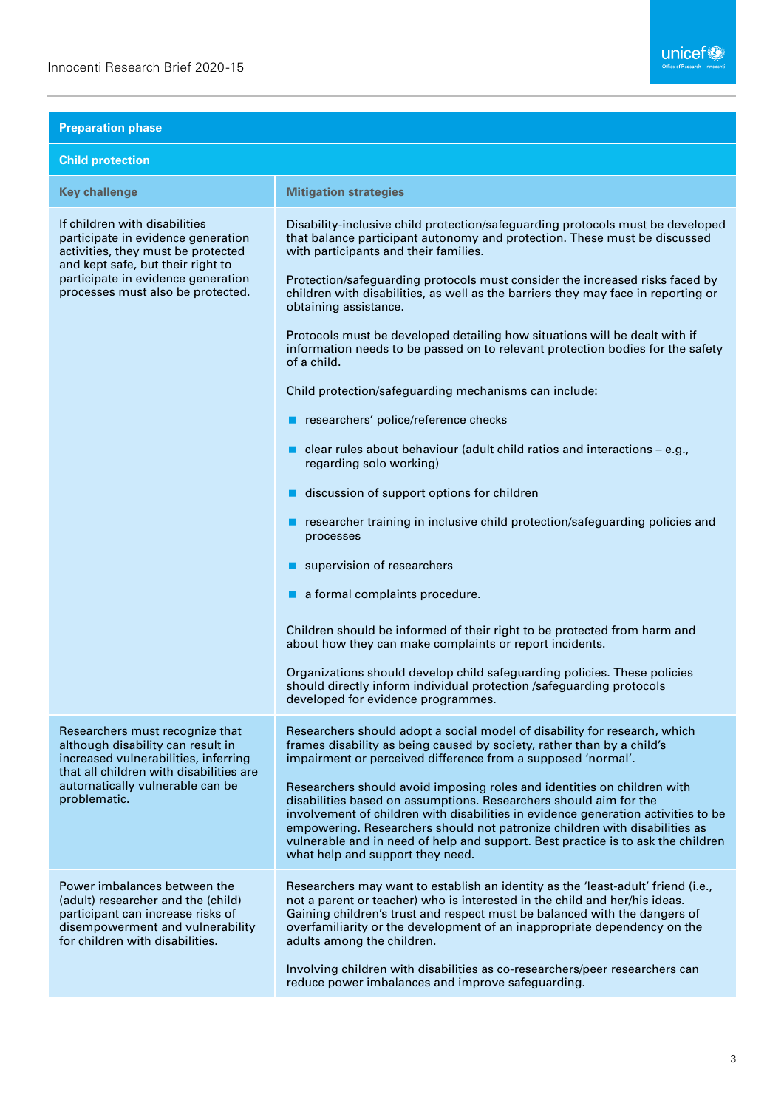| <b>Preparation phase</b>                                                                                                                                                                                                  |                                                                                                                                                                                                                                                                                                                                                                                                                                                                                                                                                                                                                                                                                                                                                                                                                                                                                                                                                                                                                                                                                                                                                                                                                                                                                                                                      |
|---------------------------------------------------------------------------------------------------------------------------------------------------------------------------------------------------------------------------|--------------------------------------------------------------------------------------------------------------------------------------------------------------------------------------------------------------------------------------------------------------------------------------------------------------------------------------------------------------------------------------------------------------------------------------------------------------------------------------------------------------------------------------------------------------------------------------------------------------------------------------------------------------------------------------------------------------------------------------------------------------------------------------------------------------------------------------------------------------------------------------------------------------------------------------------------------------------------------------------------------------------------------------------------------------------------------------------------------------------------------------------------------------------------------------------------------------------------------------------------------------------------------------------------------------------------------------|
| <b>Child protection</b>                                                                                                                                                                                                   |                                                                                                                                                                                                                                                                                                                                                                                                                                                                                                                                                                                                                                                                                                                                                                                                                                                                                                                                                                                                                                                                                                                                                                                                                                                                                                                                      |
| <b>Key challenge</b>                                                                                                                                                                                                      | <b>Mitigation strategies</b>                                                                                                                                                                                                                                                                                                                                                                                                                                                                                                                                                                                                                                                                                                                                                                                                                                                                                                                                                                                                                                                                                                                                                                                                                                                                                                         |
| If children with disabilities<br>participate in evidence generation<br>activities, they must be protected<br>and kept safe, but their right to<br>participate in evidence generation<br>processes must also be protected. | Disability-inclusive child protection/safeguarding protocols must be developed<br>that balance participant autonomy and protection. These must be discussed<br>with participants and their families.<br>Protection/safeguarding protocols must consider the increased risks faced by<br>children with disabilities, as well as the barriers they may face in reporting or<br>obtaining assistance.<br>Protocols must be developed detailing how situations will be dealt with if<br>information needs to be passed on to relevant protection bodies for the safety<br>of a child.<br>Child protection/safeguarding mechanisms can include:<br>researchers' police/reference checks<br>clear rules about behaviour (adult child ratios and interactions - e.g.,<br>regarding solo working)<br>discussion of support options for children<br>researcher training in inclusive child protection/safeguarding policies and<br>processes<br>supervision of researchers<br>a formal complaints procedure.<br>Children should be informed of their right to be protected from harm and<br>about how they can make complaints or report incidents.<br>Organizations should develop child safeguarding policies. These policies<br>should directly inform individual protection /safeguarding protocols<br>developed for evidence programmes. |
| Researchers must recognize that<br>although disability can result in<br>increased vulnerabilities, inferring<br>that all children with disabilities are<br>automatically vulnerable can be<br>problematic.                | Researchers should adopt a social model of disability for research, which<br>frames disability as being caused by society, rather than by a child's<br>impairment or perceived difference from a supposed 'normal'.<br>Researchers should avoid imposing roles and identities on children with<br>disabilities based on assumptions. Researchers should aim for the<br>involvement of children with disabilities in evidence generation activities to be<br>empowering. Researchers should not patronize children with disabilities as<br>vulnerable and in need of help and support. Best practice is to ask the children<br>what help and support they need.                                                                                                                                                                                                                                                                                                                                                                                                                                                                                                                                                                                                                                                                       |
| Power imbalances between the<br>(adult) researcher and the (child)<br>participant can increase risks of<br>disempowerment and vulnerability<br>for children with disabilities.                                            | Researchers may want to establish an identity as the 'least-adult' friend (i.e.,<br>not a parent or teacher) who is interested in the child and her/his ideas.<br>Gaining children's trust and respect must be balanced with the dangers of<br>overfamiliarity or the development of an inappropriate dependency on the<br>adults among the children.<br>Involving children with disabilities as co-researchers/peer researchers can<br>reduce power imbalances and improve safeguarding.                                                                                                                                                                                                                                                                                                                                                                                                                                                                                                                                                                                                                                                                                                                                                                                                                                            |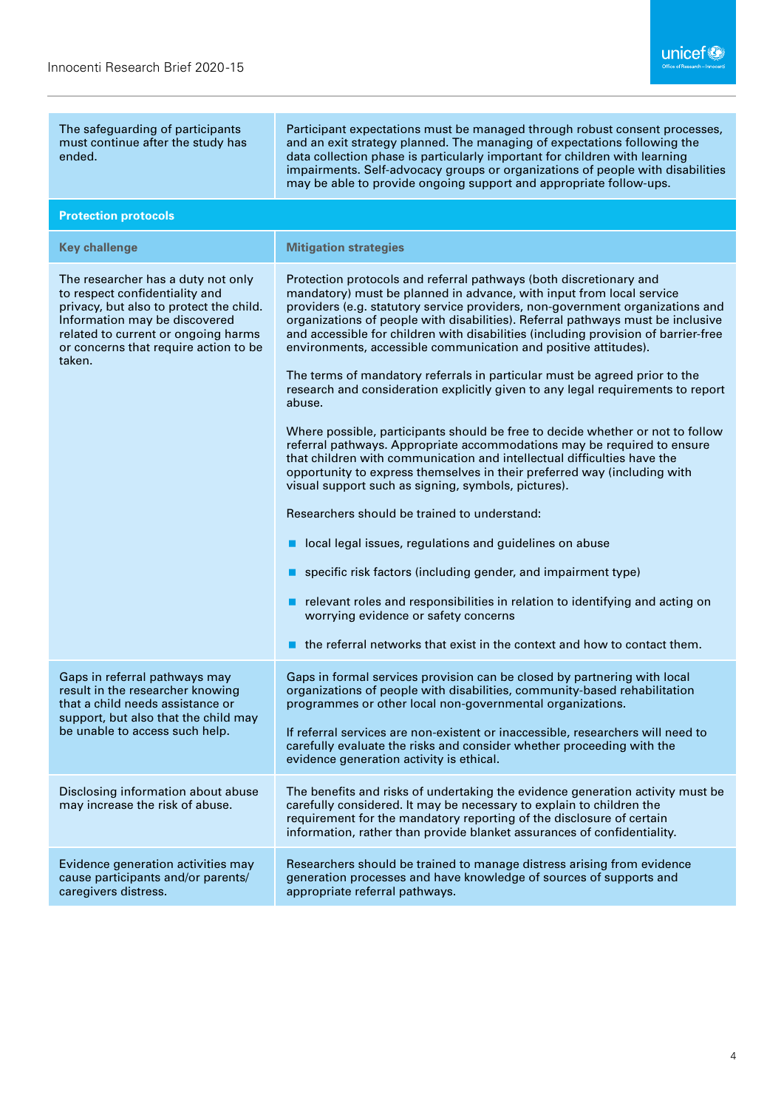| The safeguarding of participants<br>must continue after the study has<br>ended.                                                                                                                                                            | Participant expectations must be managed through robust consent processes,<br>and an exit strategy planned. The managing of expectations following the<br>data collection phase is particularly important for children with learning<br>impairments. Self-advocacy groups or organizations of people with disabilities<br>may be able to provide ongoing support and appropriate follow-ups.                                                                            |
|--------------------------------------------------------------------------------------------------------------------------------------------------------------------------------------------------------------------------------------------|-------------------------------------------------------------------------------------------------------------------------------------------------------------------------------------------------------------------------------------------------------------------------------------------------------------------------------------------------------------------------------------------------------------------------------------------------------------------------|
| <b>Protection protocols</b>                                                                                                                                                                                                                |                                                                                                                                                                                                                                                                                                                                                                                                                                                                         |
| <b>Key challenge</b>                                                                                                                                                                                                                       | <b>Mitigation strategies</b>                                                                                                                                                                                                                                                                                                                                                                                                                                            |
| The researcher has a duty not only<br>to respect confidentiality and<br>privacy, but also to protect the child.<br>Information may be discovered<br>related to current or ongoing harms<br>or concerns that require action to be<br>taken. | Protection protocols and referral pathways (both discretionary and<br>mandatory) must be planned in advance, with input from local service<br>providers (e.g. statutory service providers, non-government organizations and<br>organizations of people with disabilities). Referral pathways must be inclusive<br>and accessible for children with disabilities (including provision of barrier-free<br>environments, accessible communication and positive attitudes). |
|                                                                                                                                                                                                                                            | The terms of mandatory referrals in particular must be agreed prior to the<br>research and consideration explicitly given to any legal requirements to report<br>abuse.                                                                                                                                                                                                                                                                                                 |
|                                                                                                                                                                                                                                            | Where possible, participants should be free to decide whether or not to follow<br>referral pathways. Appropriate accommodations may be required to ensure<br>that children with communication and intellectual difficulties have the<br>opportunity to express themselves in their preferred way (including with<br>visual support such as signing, symbols, pictures).                                                                                                 |
|                                                                                                                                                                                                                                            | Researchers should be trained to understand:                                                                                                                                                                                                                                                                                                                                                                                                                            |
|                                                                                                                                                                                                                                            | local legal issues, regulations and guidelines on abuse                                                                                                                                                                                                                                                                                                                                                                                                                 |
|                                                                                                                                                                                                                                            | specific risk factors (including gender, and impairment type)                                                                                                                                                                                                                                                                                                                                                                                                           |
|                                                                                                                                                                                                                                            | relevant roles and responsibilities in relation to identifying and acting on<br>worrying evidence or safety concerns                                                                                                                                                                                                                                                                                                                                                    |
|                                                                                                                                                                                                                                            | the referral networks that exist in the context and how to contact them.                                                                                                                                                                                                                                                                                                                                                                                                |
| Gaps in referral pathways may<br>result in the researcher knowing<br>that a child needs assistance or<br>support, but also that the child may<br>be unable to access such help.                                                            | Gaps in formal services provision can be closed by partnering with local<br>organizations of people with disabilities, community-based rehabilitation<br>programmes or other local non-governmental organizations.                                                                                                                                                                                                                                                      |
|                                                                                                                                                                                                                                            | If referral services are non-existent or inaccessible, researchers will need to<br>carefully evaluate the risks and consider whether proceeding with the<br>evidence generation activity is ethical.                                                                                                                                                                                                                                                                    |
| Disclosing information about abuse<br>may increase the risk of abuse.                                                                                                                                                                      | The benefits and risks of undertaking the evidence generation activity must be<br>carefully considered. It may be necessary to explain to children the<br>requirement for the mandatory reporting of the disclosure of certain<br>information, rather than provide blanket assurances of confidentiality.                                                                                                                                                               |
| Evidence generation activities may<br>cause participants and/or parents/<br>caregivers distress.                                                                                                                                           | Researchers should be trained to manage distress arising from evidence<br>generation processes and have knowledge of sources of supports and<br>appropriate referral pathways.                                                                                                                                                                                                                                                                                          |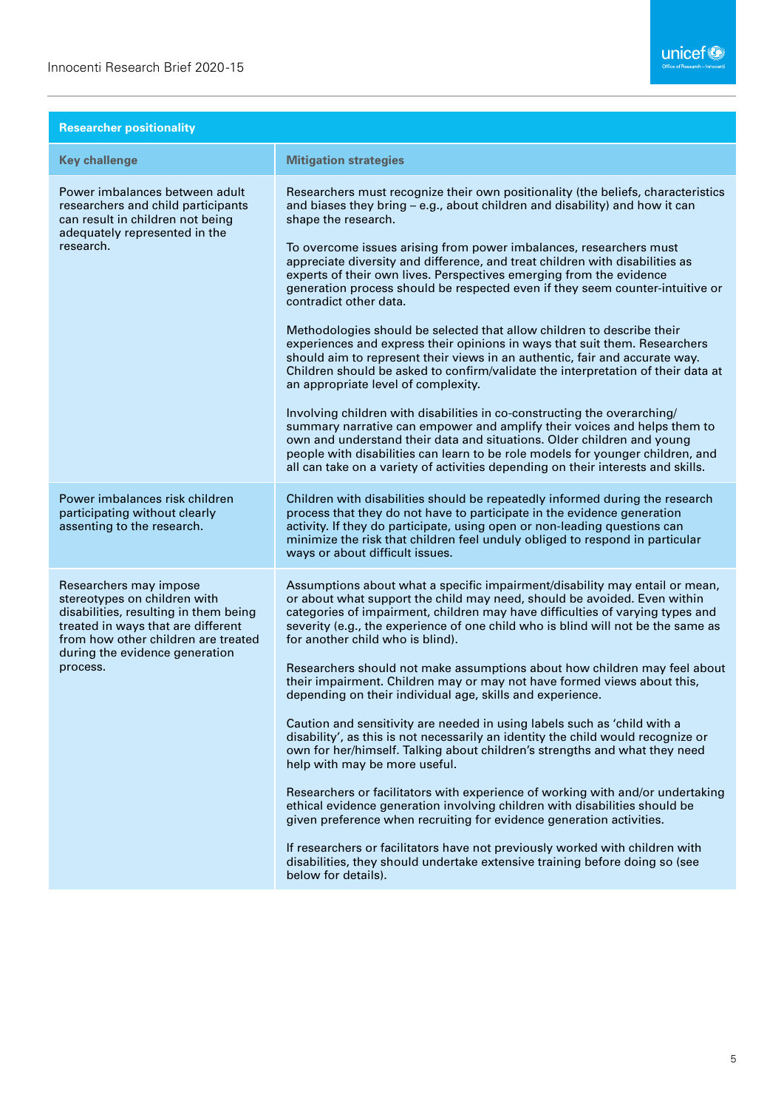| <b>Researcher positionality</b>                                                                                                                                                                                            |                                                                                                                                                                                                                                                                                                                                                                                                                                                                                                                                                                                                                                                                                                                                                                                                                                                                                                                                                                                                                                                                                                                                                                                                                                                                                                          |
|----------------------------------------------------------------------------------------------------------------------------------------------------------------------------------------------------------------------------|----------------------------------------------------------------------------------------------------------------------------------------------------------------------------------------------------------------------------------------------------------------------------------------------------------------------------------------------------------------------------------------------------------------------------------------------------------------------------------------------------------------------------------------------------------------------------------------------------------------------------------------------------------------------------------------------------------------------------------------------------------------------------------------------------------------------------------------------------------------------------------------------------------------------------------------------------------------------------------------------------------------------------------------------------------------------------------------------------------------------------------------------------------------------------------------------------------------------------------------------------------------------------------------------------------|
| <b>Key challenge</b>                                                                                                                                                                                                       | <b>Mitigation strategies</b>                                                                                                                                                                                                                                                                                                                                                                                                                                                                                                                                                                                                                                                                                                                                                                                                                                                                                                                                                                                                                                                                                                                                                                                                                                                                             |
| Power imbalances between adult<br>researchers and child participants<br>can result in children not being<br>adequately represented in the<br>research.                                                                     | Researchers must recognize their own positionality (the beliefs, characteristics<br>and biases they bring - e.g., about children and disability) and how it can<br>shape the research.<br>To overcome issues arising from power imbalances, researchers must<br>appreciate diversity and difference, and treat children with disabilities as<br>experts of their own lives. Perspectives emerging from the evidence<br>generation process should be respected even if they seem counter-intuitive or<br>contradict other data.<br>Methodologies should be selected that allow children to describe their<br>experiences and express their opinions in ways that suit them. Researchers<br>should aim to represent their views in an authentic, fair and accurate way.<br>Children should be asked to confirm/validate the interpretation of their data at<br>an appropriate level of complexity.<br>Involving children with disabilities in co-constructing the overarching/<br>summary narrative can empower and amplify their voices and helps them to<br>own and understand their data and situations. Older children and young<br>people with disabilities can learn to be role models for younger children, and<br>all can take on a variety of activities depending on their interests and skills. |
| Power imbalances risk children<br>participating without clearly<br>assenting to the research.                                                                                                                              | Children with disabilities should be repeatedly informed during the research<br>process that they do not have to participate in the evidence generation<br>activity. If they do participate, using open or non-leading questions can<br>minimize the risk that children feel unduly obliged to respond in particular<br>ways or about difficult issues.                                                                                                                                                                                                                                                                                                                                                                                                                                                                                                                                                                                                                                                                                                                                                                                                                                                                                                                                                  |
| Researchers may impose<br>stereotypes on children with<br>disabilities, resulting in them being<br>treated in ways that are different<br>from how other children are treated<br>during the evidence generation<br>process. | Assumptions about what a specific impairment/disability may entail or mean,<br>or about what support the child may need, should be avoided. Even within<br>categories of impairment, children may have difficulties of varying types and<br>severity (e.g., the experience of one child who is blind will not be the same as<br>for another child who is blind).<br>Researchers should not make assumptions about how children may feel about<br>their impairment. Children may or may not have formed views about this,<br>depending on their individual age, skills and experience.<br>Caution and sensitivity are needed in using labels such as 'child with a<br>disability', as this is not necessarily an identity the child would recognize or<br>own for her/himself. Talking about children's strengths and what they need<br>help with may be more useful.<br>Researchers or facilitators with experience of working with and/or undertaking<br>ethical evidence generation involving children with disabilities should be<br>given preference when recruiting for evidence generation activities.<br>If researchers or facilitators have not previously worked with children with<br>disabilities, they should undertake extensive training before doing so (see<br>below for details).       |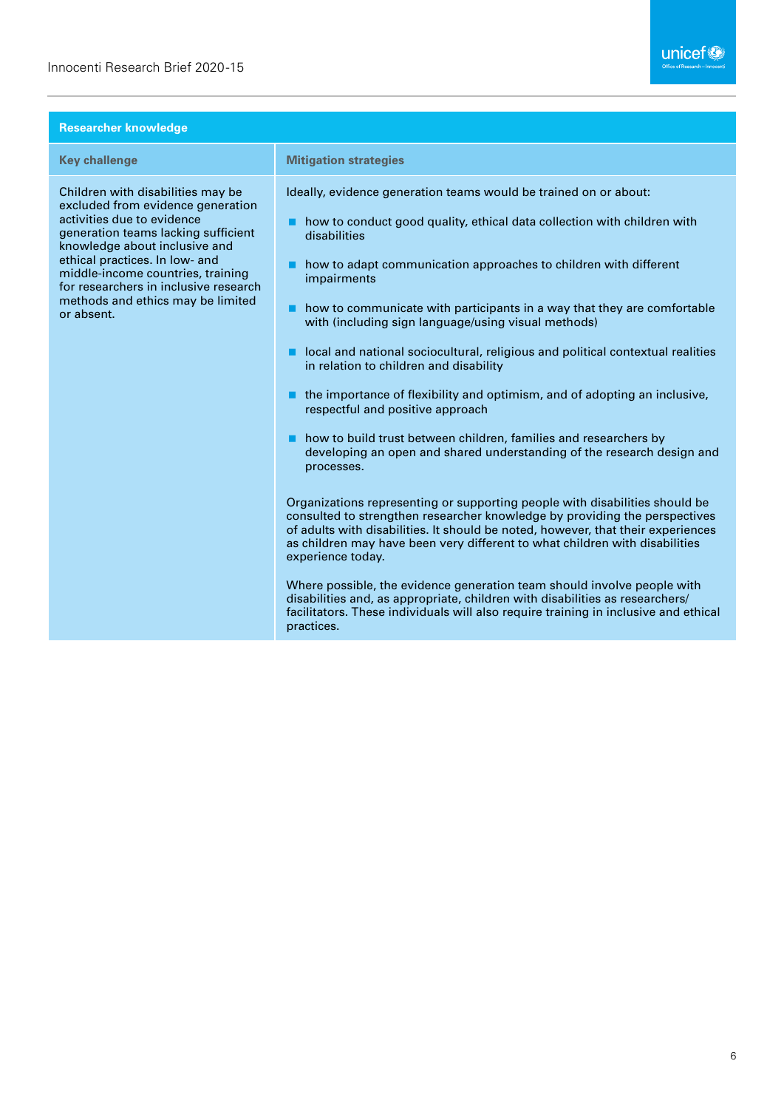| <b>Researcher knowledge</b>                                                                                                                                                                                                                                                                                                                     |                                                                                                                                                                                                                                                                                                                                                                                                                                                                                                                                                                                                                                                                                                                                                                                                                                                                                                                                                                                                                                                                                                                                                                                                                                                                                                                                                                                                                     |
|-------------------------------------------------------------------------------------------------------------------------------------------------------------------------------------------------------------------------------------------------------------------------------------------------------------------------------------------------|---------------------------------------------------------------------------------------------------------------------------------------------------------------------------------------------------------------------------------------------------------------------------------------------------------------------------------------------------------------------------------------------------------------------------------------------------------------------------------------------------------------------------------------------------------------------------------------------------------------------------------------------------------------------------------------------------------------------------------------------------------------------------------------------------------------------------------------------------------------------------------------------------------------------------------------------------------------------------------------------------------------------------------------------------------------------------------------------------------------------------------------------------------------------------------------------------------------------------------------------------------------------------------------------------------------------------------------------------------------------------------------------------------------------|
| <b>Key challenge</b>                                                                                                                                                                                                                                                                                                                            | <b>Mitigation strategies</b>                                                                                                                                                                                                                                                                                                                                                                                                                                                                                                                                                                                                                                                                                                                                                                                                                                                                                                                                                                                                                                                                                                                                                                                                                                                                                                                                                                                        |
| Children with disabilities may be<br>excluded from evidence generation<br>activities due to evidence<br>generation teams lacking sufficient<br>knowledge about inclusive and<br>ethical practices. In low- and<br>middle-income countries, training<br>for researchers in inclusive research<br>methods and ethics may be limited<br>or absent. | Ideally, evidence generation teams would be trained on or about:<br>how to conduct good quality, ethical data collection with children with<br>disabilities<br>how to adapt communication approaches to children with different<br>impairments<br>how to communicate with participants in a way that they are comfortable<br>■<br>with (including sign language/using visual methods)<br>local and national sociocultural, religious and political contextual realities<br>in relation to children and disability<br>the importance of flexibility and optimism, and of adopting an inclusive,<br>respectful and positive approach<br>how to build trust between children, families and researchers by<br>developing an open and shared understanding of the research design and<br>processes.<br>Organizations representing or supporting people with disabilities should be<br>consulted to strengthen researcher knowledge by providing the perspectives<br>of adults with disabilities. It should be noted, however, that their experiences<br>as children may have been very different to what children with disabilities<br>experience today.<br>Where possible, the evidence generation team should involve people with<br>disabilities and, as appropriate, children with disabilities as researchers/<br>facilitators. These individuals will also require training in inclusive and ethical<br>practices. |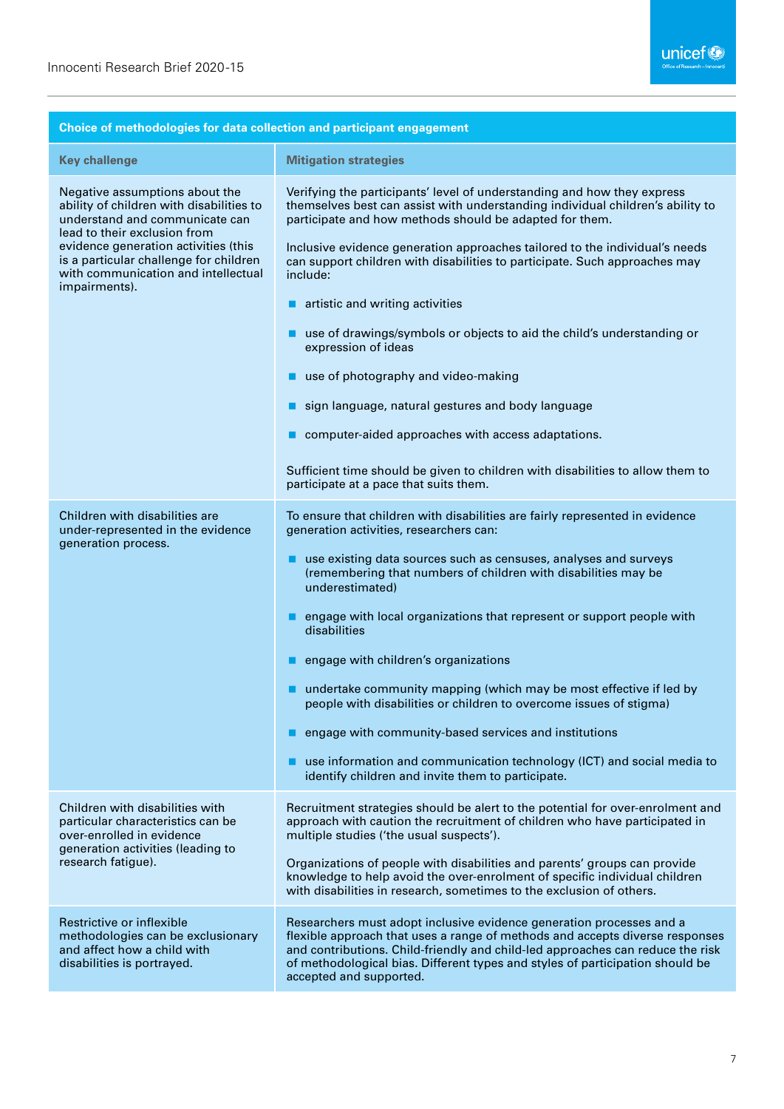| Choice of methodologies for data collection and participant engagement                                                                                                                                                                                                                 |                                                                                                                                                                                                                                                                                                                                                                                                                                                                                                                                                                                                                                                                                                                                                                                                                 |
|----------------------------------------------------------------------------------------------------------------------------------------------------------------------------------------------------------------------------------------------------------------------------------------|-----------------------------------------------------------------------------------------------------------------------------------------------------------------------------------------------------------------------------------------------------------------------------------------------------------------------------------------------------------------------------------------------------------------------------------------------------------------------------------------------------------------------------------------------------------------------------------------------------------------------------------------------------------------------------------------------------------------------------------------------------------------------------------------------------------------|
| <b>Key challenge</b>                                                                                                                                                                                                                                                                   | <b>Mitigation strategies</b>                                                                                                                                                                                                                                                                                                                                                                                                                                                                                                                                                                                                                                                                                                                                                                                    |
| Negative assumptions about the<br>ability of children with disabilities to<br>understand and communicate can<br>lead to their exclusion from<br>evidence generation activities (this<br>is a particular challenge for children<br>with communication and intellectual<br>impairments). | Verifying the participants' level of understanding and how they express<br>themselves best can assist with understanding individual children's ability to<br>participate and how methods should be adapted for them.<br>Inclusive evidence generation approaches tailored to the individual's needs<br>can support children with disabilities to participate. Such approaches may<br>include:<br>artistic and writing activities<br>use of drawings/symbols or objects to aid the child's understanding or<br>expression of ideas<br>use of photography and video-making<br>sign language, natural gestures and body language<br>computer-aided approaches with access adaptations.<br>Sufficient time should be given to children with disabilities to allow them to<br>participate at a pace that suits them. |
| Children with disabilities are<br>under-represented in the evidence<br>generation process.                                                                                                                                                                                             | To ensure that children with disabilities are fairly represented in evidence<br>generation activities, researchers can:<br>use existing data sources such as censuses, analyses and surveys<br>(remembering that numbers of children with disabilities may be<br>underestimated)<br>engage with local organizations that represent or support people with<br>disabilities<br>engage with children's organizations<br>undertake community mapping (which may be most effective if led by<br>people with disabilities or children to overcome issues of stigma)<br>engage with community-based services and institutions<br>use information and communication technology (ICT) and social media to<br>identify children and invite them to participate.                                                           |
| Children with disabilities with<br>particular characteristics can be<br>over-enrolled in evidence<br>generation activities (leading to<br>research fatigue).                                                                                                                           | Recruitment strategies should be alert to the potential for over-enrolment and<br>approach with caution the recruitment of children who have participated in<br>multiple studies ('the usual suspects').<br>Organizations of people with disabilities and parents' groups can provide<br>knowledge to help avoid the over-enrolment of specific individual children<br>with disabilities in research, sometimes to the exclusion of others.                                                                                                                                                                                                                                                                                                                                                                     |
| Restrictive or inflexible<br>methodologies can be exclusionary<br>and affect how a child with<br>disabilities is portrayed.                                                                                                                                                            | Researchers must adopt inclusive evidence generation processes and a<br>flexible approach that uses a range of methods and accepts diverse responses<br>and contributions. Child-friendly and child-led approaches can reduce the risk<br>of methodological bias. Different types and styles of participation should be<br>accepted and supported.                                                                                                                                                                                                                                                                                                                                                                                                                                                              |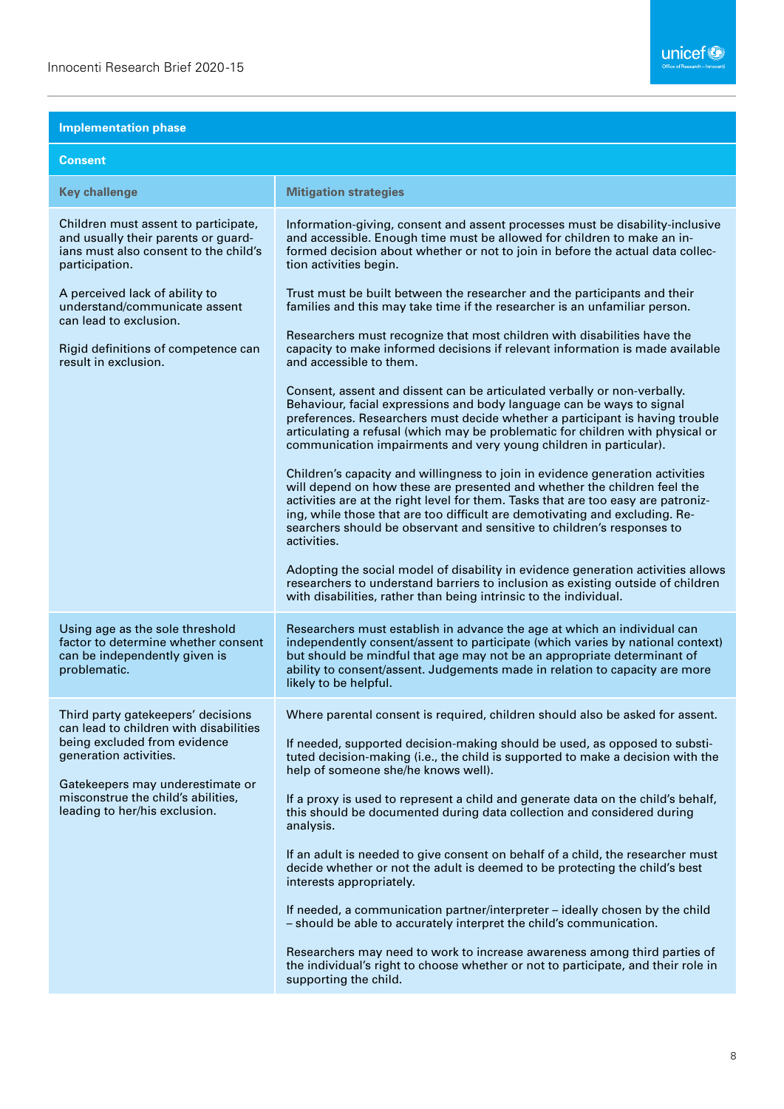### **Implementation phase**

| <b>Consent</b>                                                                                                                                                                                                                                    |                                                                                                                                                                                                                                                                                                                                                                                                                                                                                                                                                                                                                                                                                                                                                                                                                                                                                                                                                                                                                                                                                                                                                                                                                                                                                                                                                                                                                   |
|---------------------------------------------------------------------------------------------------------------------------------------------------------------------------------------------------------------------------------------------------|-------------------------------------------------------------------------------------------------------------------------------------------------------------------------------------------------------------------------------------------------------------------------------------------------------------------------------------------------------------------------------------------------------------------------------------------------------------------------------------------------------------------------------------------------------------------------------------------------------------------------------------------------------------------------------------------------------------------------------------------------------------------------------------------------------------------------------------------------------------------------------------------------------------------------------------------------------------------------------------------------------------------------------------------------------------------------------------------------------------------------------------------------------------------------------------------------------------------------------------------------------------------------------------------------------------------------------------------------------------------------------------------------------------------|
| <b>Key challenge</b>                                                                                                                                                                                                                              | <b>Mitigation strategies</b>                                                                                                                                                                                                                                                                                                                                                                                                                                                                                                                                                                                                                                                                                                                                                                                                                                                                                                                                                                                                                                                                                                                                                                                                                                                                                                                                                                                      |
| Children must assent to participate,<br>and usually their parents or guard-<br>ians must also consent to the child's<br>participation.                                                                                                            | Information-giving, consent and assent processes must be disability-inclusive<br>and accessible. Enough time must be allowed for children to make an in-<br>formed decision about whether or not to join in before the actual data collec-<br>tion activities begin.                                                                                                                                                                                                                                                                                                                                                                                                                                                                                                                                                                                                                                                                                                                                                                                                                                                                                                                                                                                                                                                                                                                                              |
| A perceived lack of ability to<br>understand/communicate assent<br>can lead to exclusion.<br>Rigid definitions of competence can<br>result in exclusion.                                                                                          | Trust must be built between the researcher and the participants and their<br>families and this may take time if the researcher is an unfamiliar person.<br>Researchers must recognize that most children with disabilities have the<br>capacity to make informed decisions if relevant information is made available<br>and accessible to them.<br>Consent, assent and dissent can be articulated verbally or non-verbally.<br>Behaviour, facial expressions and body language can be ways to signal<br>preferences. Researchers must decide whether a participant is having trouble<br>articulating a refusal (which may be problematic for children with physical or<br>communication impairments and very young children in particular).<br>Children's capacity and willingness to join in evidence generation activities<br>will depend on how these are presented and whether the children feel the<br>activities are at the right level for them. Tasks that are too easy are patroniz-<br>ing, while those that are too difficult are demotivating and excluding. Re-<br>searchers should be observant and sensitive to children's responses to<br>activities.<br>Adopting the social model of disability in evidence generation activities allows<br>researchers to understand barriers to inclusion as existing outside of children<br>with disabilities, rather than being intrinsic to the individual. |
| Using age as the sole threshold<br>factor to determine whether consent<br>can be independently given is<br>problematic.                                                                                                                           | Researchers must establish in advance the age at which an individual can<br>independently consent/assent to participate (which varies by national context)<br>but should be mindful that age may not be an appropriate determinant of<br>ability to consent/assent. Judgements made in relation to capacity are more<br>likely to be helpful.                                                                                                                                                                                                                                                                                                                                                                                                                                                                                                                                                                                                                                                                                                                                                                                                                                                                                                                                                                                                                                                                     |
| Third party gatekeepers' decisions<br>can lead to children with disabilities<br>being excluded from evidence<br>generation activities.<br>Gatekeepers may underestimate or<br>misconstrue the child's abilities,<br>leading to her/his exclusion. | Where parental consent is required, children should also be asked for assent.<br>If needed, supported decision-making should be used, as opposed to substi-<br>tuted decision-making (i.e., the child is supported to make a decision with the<br>help of someone she/he knows well).<br>If a proxy is used to represent a child and generate data on the child's behalf,<br>this should be documented during data collection and considered during<br>analysis.<br>If an adult is needed to give consent on behalf of a child, the researcher must<br>decide whether or not the adult is deemed to be protecting the child's best<br>interests appropriately.<br>If needed, a communication partner/interpreter - ideally chosen by the child<br>- should be able to accurately interpret the child's communication.<br>Researchers may need to work to increase awareness among third parties of<br>the individual's right to choose whether or not to participate, and their role in<br>supporting the child.                                                                                                                                                                                                                                                                                                                                                                                                  |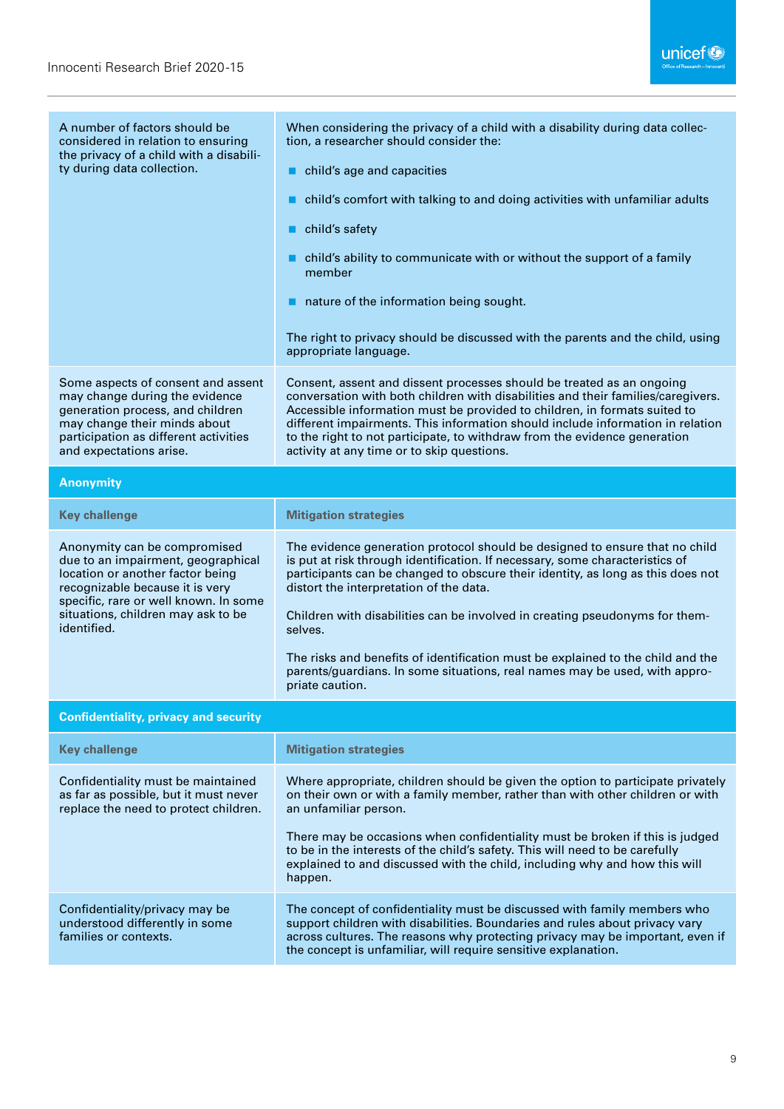| A number of factors should be<br>considered in relation to ensuring<br>the privacy of a child with a disabili-<br>ty during data collection.                                                                                            | When considering the privacy of a child with a disability during data collec-<br>tion, a researcher should consider the:<br>child's age and capacities<br>child's comfort with talking to and doing activities with unfamiliar adults<br>child's safety                                                                                                                                                                                             |
|-----------------------------------------------------------------------------------------------------------------------------------------------------------------------------------------------------------------------------------------|-----------------------------------------------------------------------------------------------------------------------------------------------------------------------------------------------------------------------------------------------------------------------------------------------------------------------------------------------------------------------------------------------------------------------------------------------------|
|                                                                                                                                                                                                                                         | child's ability to communicate with or without the support of a family<br>member                                                                                                                                                                                                                                                                                                                                                                    |
|                                                                                                                                                                                                                                         | $\blacksquare$ nature of the information being sought.                                                                                                                                                                                                                                                                                                                                                                                              |
|                                                                                                                                                                                                                                         | The right to privacy should be discussed with the parents and the child, using<br>appropriate language.                                                                                                                                                                                                                                                                                                                                             |
| Some aspects of consent and assent<br>may change during the evidence<br>generation process, and children<br>may change their minds about<br>participation as different activities<br>and expectations arise.                            | Consent, assent and dissent processes should be treated as an ongoing<br>conversation with both children with disabilities and their families/caregivers.<br>Accessible information must be provided to children, in formats suited to<br>different impairments. This information should include information in relation<br>to the right to not participate, to withdraw from the evidence generation<br>activity at any time or to skip questions. |
| <b>Anonymity</b>                                                                                                                                                                                                                        |                                                                                                                                                                                                                                                                                                                                                                                                                                                     |
| <b>Key challenge</b>                                                                                                                                                                                                                    | <b>Mitigation strategies</b>                                                                                                                                                                                                                                                                                                                                                                                                                        |
| Anonymity can be compromised<br>due to an impairment, geographical<br>location or another factor being<br>recognizable because it is very<br>specific, rare or well known. In some<br>situations, children may ask to be<br>identified. | The evidence generation protocol should be designed to ensure that no child<br>is put at risk through identification. If necessary, some characteristics of<br>participants can be changed to obscure their identity, as long as this does not<br>distort the interpretation of the data.                                                                                                                                                           |
|                                                                                                                                                                                                                                         | Children with disabilities can be involved in creating pseudonyms for them-<br>selves.                                                                                                                                                                                                                                                                                                                                                              |
|                                                                                                                                                                                                                                         | The risks and benefits of identification must be explained to the child and the<br>parents/guardians. In some situations, real names may be used, with appro-<br>priate caution.                                                                                                                                                                                                                                                                    |
| <b>Confidentiality, privacy and security</b>                                                                                                                                                                                            |                                                                                                                                                                                                                                                                                                                                                                                                                                                     |
| <b>Key challenge</b>                                                                                                                                                                                                                    | <b>Mitigation strategies</b>                                                                                                                                                                                                                                                                                                                                                                                                                        |
| Confidentiality must be maintained<br>as far as possible, but it must never<br>replace the need to protect children.                                                                                                                    | Where appropriate, children should be given the option to participate privately<br>on their own or with a family member, rather than with other children or with<br>an unfamiliar person.                                                                                                                                                                                                                                                           |
|                                                                                                                                                                                                                                         | There may be occasions when confidentiality must be broken if this is judged<br>to be in the interests of the child's safety. This will need to be carefully<br>explained to and discussed with the child, including why and how this will<br>happen.                                                                                                                                                                                               |
| Confidentiality/privacy may be<br>understood differently in some<br>families or contexts.                                                                                                                                               | The concept of confidentiality must be discussed with family members who<br>support children with disabilities. Boundaries and rules about privacy vary<br>across cultures. The reasons why protecting privacy may be important, even if<br>the concept is unfamiliar, will require sensitive explanation.                                                                                                                                          |